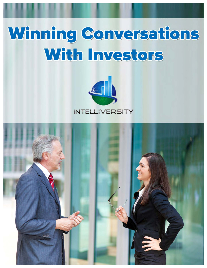# Winning Conversations With Investors



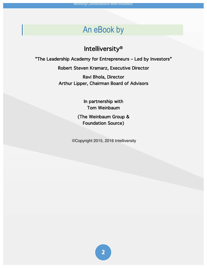#### An eBook by

#### Intelliversity®

"The Leadership Academy for Entrepreneurs – Led by Investors"

Robert Steven Kramarz, Executive Director

Ravi Bhola, Director Arthur Lipper, Chairman Board of Advisors

> In partnership with Tom Weinbaum

(The Weinbaum Group & Foundation Source)

©Copyright 2015, 2016 Intelliversity

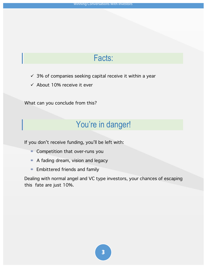#### Facts:

- $\checkmark$  3% of companies seeking capital receive it within a year
- $\checkmark$  About 10% receive it ever

What can you conclude from this?

#### You're in danger!

If you don't receive funding, you'll be left with:

- ◉ Competition that over-runs you
- ◉ A fading dream, vision and legacy
- ◉ Embittered friends and family

Dealing with normal angel and VC type investors, your chances of escaping this fate are just 10%.

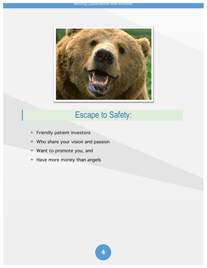

# Escape to Safety:

- ◉ Friendly patient investors
- ◉ Who share your vision and passion
- ◉ Want to promote you, and
- ◉ Have more money than angels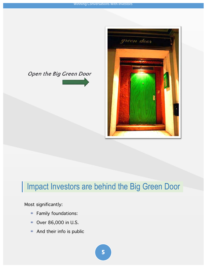#### Open the Big Green Door





## | Impact Investors are behind the Big Green Door

Most significantly:

- ◉ Family foundations:
- ◉ Over 86,000 in U.S.
- ◉ And their info is public

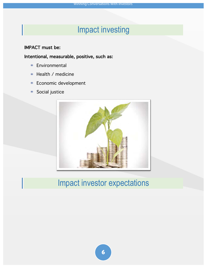## Impact investing

#### IMPACT must be:

Intentional, measurable, positive, such as:

- ◉ Environmental
- ◉ Health / medicine
- ◉ Economic development
- ◉ Social justice



## Impact investor expectations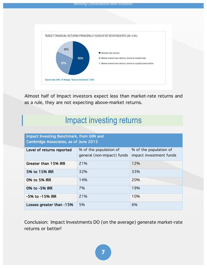

Almost half of Impact investors expect less than market-rate returns and as a rule, they are not expecting above-market returns.

#### Impact investing returns

| Impact Investing Benchmark, from GIIN and<br><b>Cambridge Associates, as of June 2015</b> |                                                      |                                                   |
|-------------------------------------------------------------------------------------------|------------------------------------------------------|---------------------------------------------------|
| Level of returns reported                                                                 | % of the population of<br>general (non-impact) funds | % of the population of<br>impact investment funds |
| Greater than 15% IRR                                                                      | 21%                                                  | 12%                                               |
| 5% to 15% IRR                                                                             | 32%                                                  | 33%                                               |
| 0% to 5% IRR                                                                              | 14%                                                  | 20%                                               |
| 0% to -5% IRR                                                                             | 7%                                                   | 19%                                               |
| -5% to -15% IRR                                                                           | 21%                                                  | 10%                                               |
| Losses greater than -15%                                                                  | 5%                                                   | 6%                                                |

Conclusion: Impact Investments DO (on the average) generate market-rate returns or better!

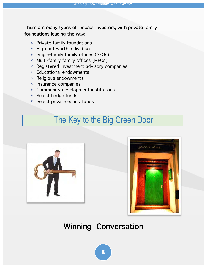#### There are many types of impact investors, with private family foundations leading the way:

- ◉ Private family foundations
- ◉ High-net worth individuals
- ◉ Single-family family offices (SFOs)
- ◉ Multi-family family offices (MFOs)
- ◉ Registered investment advisory companies
- ◉ Educational endowments
- ◉ Religious endowments
- ◉ Insurance companies
- ◉ Community development institutions
- ◉ Select hedge funds
- ◉ Select private equity funds

## The Key to the Big Green Door





#### Winning Conversation

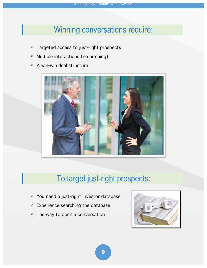## Winning conversations require:

- ◉ Targeted access to just-right prospects
- ◉ Multiple interactions (no pitching)
- ◉ A win-win deal structure



# To target just-right prospects:

- ◉ You need a just-right investor database
- ◉ Experience searching the database
- ◉ The way to open a conversation



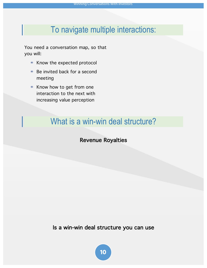## To navigate multiple interactions:

You need a conversation map, so that you will:

- ◉ Know the expected protocol
- ◉ Be invited back for a second meeting
- ◉ Know how to get from one interaction to the next with increasing value perception

#### What is a win-win deal structure?

#### Revenue Royalties

Is a win-win deal structure you can use

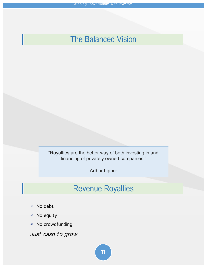#### The Balanced Vision

"Royalties are the better way of both investing in and financing of privately owned companies."

Arthur Lipper

#### Revenue Royalties

- ◉ No debt
- ◉ No equity
- ◉ No crowdfunding

Just cash to grow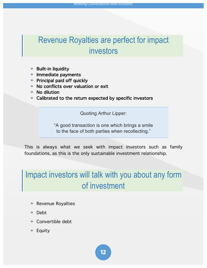# Revenue Royalties are perfect for impact investors

- Built-in liquidity
- ◉ Immediate payments
- ◉ Principal paid off quickly
- ◉ No conflicts over valuation or exit
- ◉ No dilution
- ◉ Calibrated to the return expected by specific investors

Quoting Arthur Lipper:

"A good transaction is one which brings a smile to the face of both parties when recollecting."

This is always what we seek with impact investors such as family foundations, as this is the only sustainable investment relationship.

# Impact investors will talk with you about any form of investment

- ◉ Revenue Royalties
- ◉ Debt
- ◉ Convertible debt
- ◉ Equity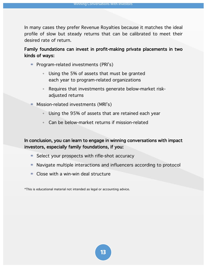In many cases they prefer Revenue Royalties because it matches the ideal profile of slow but steady returns that can be calibrated to meet their desired rate of return.

#### Family foundations can invest in profit-making private placements in two kinds of ways:

- ◉ Program-related investments (PRI's)
	- Using the 5% of assets that must be granted each year to program-related organizations
	- Requires that investments generate below-market riskadjusted returns
- ◉ Mission-related investments (MRI's)
	- Using the 95% of assets that are retained each year
	- Can be below-market returns if mission-related

In conclusion, you can learn to engage in winning conversations with impact investors, especially family foundations, if you:

- ◉ Select your prospects with rifle-shot accuracy
- ◉ Navigate multiple interactions and influencers according to protocol
- ◉ Close with a win-win deal structure

\*This is educational material not intended as legal or accounting advice.